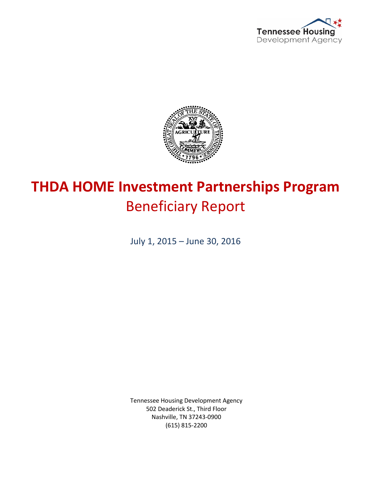



# **THDA HOME Investment Partnerships Program** Beneficiary Report

July 1, 2015 – June 30, 2016

Tennessee Housing Development Agency 502 Deaderick St., Third Floor Nashville, TN 37243-0900 (615) 815-2200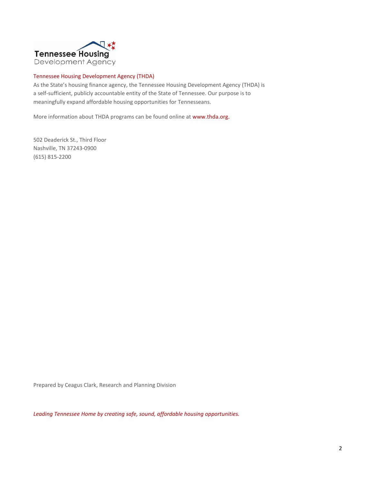

#### Tennessee Housing Development Agency (THDA)

As the State's housing finance agency, the Tennessee Housing Development Agency (THDA) is a self-sufficient, publicly accountable entity of the State of Tennessee. Our purpose is to meaningfully expand affordable housing opportunities for Tennesseans.

More information about THDA programs can be found online at www.thda.org.

502 Deaderick St., Third Floor Nashville, TN 37243-0900 (615) 815-2200

Prepared by Ceagus Clark, Research and Planning Division

*Leading Tennessee Home by creating safe, sound, affordable housing opportunities.*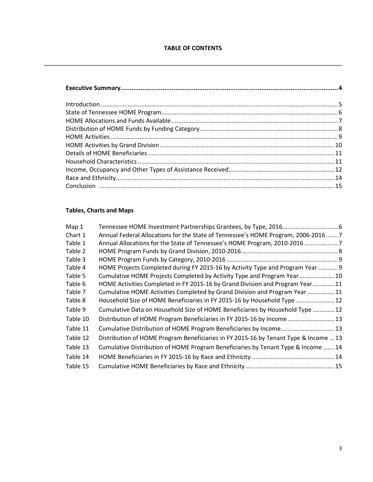# **Tables, Charts and Maps**

| Map 1    |                                                                                      |  |
|----------|--------------------------------------------------------------------------------------|--|
| Chart 1  | Annual Federal Allocations for the State of Tennessee's HOME Program, 2006-2016  7   |  |
| Table 1  | Annual Allocations for the State of Tennessee's HOME Program, 2010-2016              |  |
| Table 2  |                                                                                      |  |
| Table 3  |                                                                                      |  |
| Table 4  | HOME Projects Completed during FY 2015-16 by Activity Type and Program Year 9        |  |
| Table 5  | Cumulative HOME Projects Completed by Activity Type and Program Year 10              |  |
| Table 6  | HOME Activities Completed in FY 2015-16 by Grand Division and Program Year11         |  |
| Table 7  | Cumulative HOME Activities Completed by Grand Division and Program Year  11          |  |
| Table 8  | Household Size of HOME Beneficiaries in FY 2015-16 by Household Type  12             |  |
| Table 9  | Cumulative Data on Household Size of HOME Beneficiaries by Household Type  12        |  |
| Table 10 | Distribution of HOME Program Beneficiaries in FY 2015-16 by Income 13                |  |
| Table 11 | Cumulative Distribution of HOME Program Beneficiaries by Income 13                   |  |
| Table 12 | Distribution of HOME Program Beneficiaries in FY 2015-16 by Tenant Type & Income  13 |  |
| Table 13 | Cumulative Distribution of HOME Program Beneficiaries by Tenant Type & Income  14    |  |
| Table 14 |                                                                                      |  |
| Table 15 |                                                                                      |  |
|          |                                                                                      |  |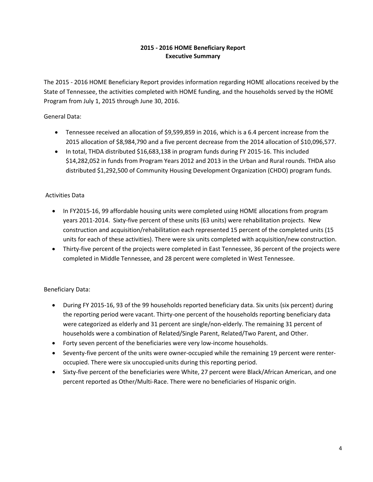## **2015 - 2016 HOME Beneficiary Report Executive Summary**

The 2015 - 2016 HOME Beneficiary Report provides information regarding HOME allocations received by the State of Tennessee, the activities completed with HOME funding, and the households served by the HOME Program from July 1, 2015 through June 30, 2016.

General Data:

- Tennessee received an allocation of \$9,599,859 in 2016, which is a 6.4 percent increase from the 2015 allocation of \$8,984,790 and a five percent decrease from the 2014 allocation of \$10,096,577.
- In total, THDA distributed \$16,683,138 in program funds during FY 2015-16. This included \$14,282,052 in funds from Program Years 2012 and 2013 in the Urban and Rural rounds. THDA also distributed \$1,292,500 of Community Housing Development Organization (CHDO) program funds.

## Activities Data

- In FY2015-16, 99 affordable housing units were completed using HOME allocations from program years 2011-2014. Sixty-five percent of these units (63 units) were rehabilitation projects. New construction and acquisition/rehabilitation each represented 15 percent of the completed units (15 units for each of these activities). There were six units completed with acquisition/new construction.
- Thirty-five percent of the projects were completed in East Tennessee, 36 percent of the projects were completed in Middle Tennessee, and 28 percent were completed in West Tennessee.

## Beneficiary Data:

- During FY 2015-16, 93 of the 99 households reported beneficiary data. Six units (six percent) during the reporting period were vacant. Thirty-one percent of the households reporting beneficiary data were categorized as elderly and 31 percent are single/non-elderly. The remaining 31 percent of households were a combination of Related/Single Parent, Related/Two Parent, and Other.
- Forty seven percent of the beneficiaries were very low-income households.
- Seventy-five percent of the units were owner-occupied while the remaining 19 percent were renteroccupied. There were six unoccupied units during this reporting period.
- Sixty-five percent of the beneficiaries were White, 27 percent were Black/African American, and one percent reported as Other/Multi-Race. There were no beneficiaries of Hispanic origin.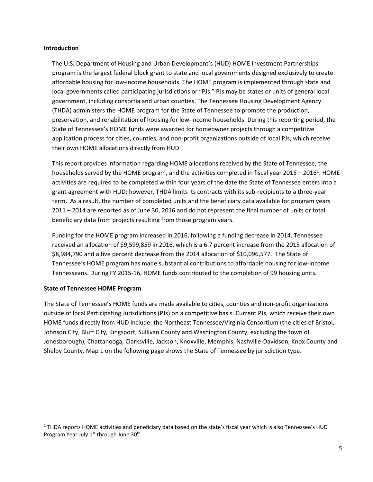#### **Introduction**

The U.S. Department of Housing and Urban Development's (HUD) HOME Investment Partnerships program is the largest federal block grant to state and local governments designed exclusively to create affordable housing for low-income households. The HOME program is implemented through state and local governments called participating jurisdictions or "PJs." PJs may be states or units of general local government, including consortia and urban counties. The Tennessee Housing Development Agency (THDA) administers the HOME program for the State of Tennessee to promote the production, preservation, and rehabilitation of housing for low-income households. During this reporting period, the State of Tennessee's HOME funds were awarded for homeowner projects through a competitive application process for cities, counties, and non-profit organizations outside of local PJs, which receive their own HOME allocations directly from HUD.

This report provides information regarding HOME allocations received by the State of Tennessee, the households served by the HOME program, and the activities completed in fiscal year 20[1](#page-4-0)5 – 2016<sup>1</sup>. HOME activities are required to be completed within four years of the date the State of Tennessee enters into a grant agreement with HUD; however, THDA limits its contracts with its sub-recipients to a three-year term. As a result, the number of completed units and the beneficiary data available for program years 2011 – 2014 are reported as of June 30, 2016 and do not represent the final number of units or total beneficiary data from projects resulting from those program years.

Funding for the HOME program increased in 2016, following a funding decrease in 2014. Tennessee received an allocation of \$9,599,859 in 2016, which is a 6.7 percent increase from the 2015 allocation of \$8,984,790 and a five percent decrease from the 2014 allocation of \$10,096,577. The State of Tennessee's HOME program has made substantial contributions to affordable housing for low-income Tennesseans. During FY 2015-16, HOME funds contributed to the completion of 99 housing units.

#### **State of Tennessee HOME Program**

The State of Tennessee's HOME funds are made available to cities, counties and non-profit organizations outside of local Participating Jurisdictions (PJs) on a competitive basis. Current PJs, which receive their own HOME funds directly from HUD include: the Northeast Tennessee/Virginia Consortium (the cities of Bristol, Johnson City, Bluff City, Kingsport, Sullivan County and Washington County, excluding the town of Jonesborough), Chattanooga, Clarksville, Jackson, Knoxville, Memphis, Nashville-Davidson, Knox County and Shelby County. Map 1 on the following page shows the State of Tennessee by jurisdiction type.

<span id="page-4-0"></span> <sup>1</sup> THDA reports HOME activities and beneficiary data based on the state's fiscal year which is also Tennessee's HUD Program Year July  $1^{st}$  through June  $30^{th}$ .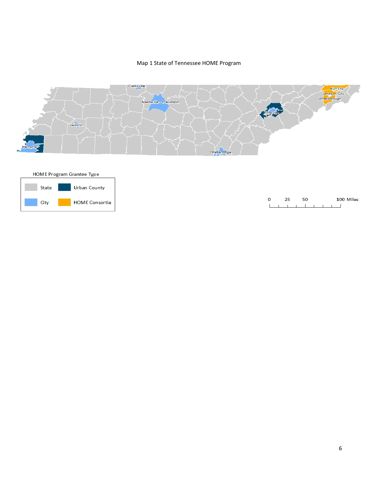#### Map 1 State of Tennessee HOME Program





| Ō | . . |  |  |  |  | 100 Miles |  |
|---|-----|--|--|--|--|-----------|--|
|   |     |  |  |  |  |           |  |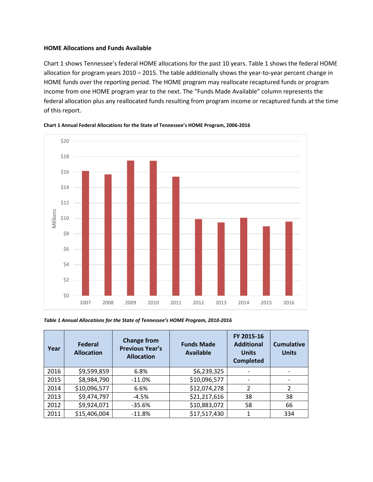#### **HOME Allocations and Funds Available**

Chart 1 shows Tennessee's federal HOME allocations for the past 10 years. Table 1 shows the federal HOME allocation for program years 2010 – 2015. The table additionally shows the year-to-year percent change in HOME funds over the reporting period. The HOME program may reallocate recaptured funds or program income from one HOME program year to the next. The "Funds Made Available" column represents the federal allocation plus any reallocated funds resulting from program income or recaptured funds at the time of this report.





*Table 1 Annual Allocations for the State of Tennessee's HOME Program, 2010-2016*

| Year | <b>Federal</b><br><b>Allocation</b> | <b>Change from</b><br><b>Previous Year's</b><br><b>Allocation</b> | <b>Funds Made</b><br><b>Available</b> | FY 2015-16<br><b>Additional</b><br><b>Units</b><br><b>Completed</b> | <b>Cumulative</b><br><b>Units</b> |
|------|-------------------------------------|-------------------------------------------------------------------|---------------------------------------|---------------------------------------------------------------------|-----------------------------------|
| 2016 | \$9,599,859                         | 6.8%                                                              | \$6,239,325                           |                                                                     |                                   |
| 2015 | \$8,984,790                         | $-11.0%$                                                          | \$10,096,577                          |                                                                     |                                   |
| 2014 | \$10,096,577                        | 6.6%                                                              | \$12,074,278                          | $\overline{2}$                                                      | 2                                 |
| 2013 | \$9,474,797                         | $-4.5%$                                                           | \$21,217,616                          | 38                                                                  | 38                                |
| 2012 | \$9,924,071                         | $-35.6%$                                                          | \$10,883,072                          | 58                                                                  | 66                                |
| 2011 | \$15,406,004                        | $-11.8%$                                                          | \$17,517,430                          | 1                                                                   | 334                               |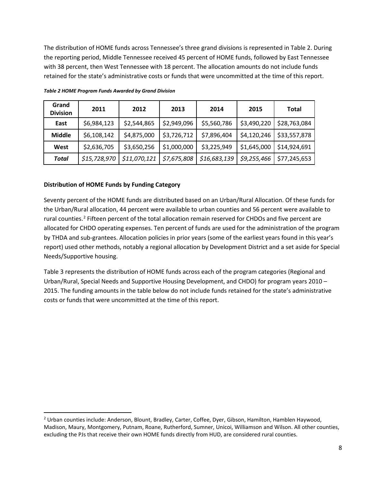The distribution of HOME funds across Tennessee's three grand divisions is represented in Table 2. During the reporting period, Middle Tennessee received 45 percent of HOME funds, followed by East Tennessee with 38 percent, then West Tennessee with 18 percent. The allocation amounts do not include funds retained for the state's administrative costs or funds that were uncommitted at the time of this report.

| Grand<br><b>Division</b> | 2011         | 2012         | 2013        | 2014         | 2015        | <b>Total</b> |
|--------------------------|--------------|--------------|-------------|--------------|-------------|--------------|
| East                     | \$6,984,123  | \$2,544,865  | \$2,949,096 | \$5,560,786  | \$3,490,220 | \$28,763,084 |
| <b>Middle</b>            | \$6,108,142  | \$4,875,000  | \$3,726,712 | \$7,896,404  | \$4,120,246 | \$33,557,878 |
| West                     | \$2,636,705  | \$3,650,256  | \$1,000,000 | \$3,225,949  | \$1,645,000 | \$14,924,691 |
| <b>Total</b>             | \$15,728,970 | \$11,070,121 | \$7,675,808 | \$16,683,139 | \$9,255,466 | \$77,245,653 |

*Table 2 HOME Program Funds Awarded by Grand Division*

#### **Distribution of HOME Funds by Funding Category**

Seventy percent of the HOME funds are distributed based on an Urban/Rural Allocation. Of these funds for the Urban/Rural allocation, 44 percent were available to urban counties and 56 percent were available to rural counties.<sup>[2](#page-7-0)</sup> Fifteen percent of the total allocation remain reserved for CHDOs and five percent are allocated for CHDO operating expenses. Ten percent of funds are used for the administration of the program by THDA and sub-grantees. Allocation policies in prior years (some of the earliest years found in this year's report) used other methods, notably a regional allocation by Development District and a set aside for Special Needs/Supportive housing.

Table 3 represents the distribution of HOME funds across each of the program categories (Regional and Urban/Rural, Special Needs and Supportive Housing Development, and CHDO) for program years 2010 – 2015. The funding amounts in the table below do not include funds retained for the state's administrative costs or funds that were uncommitted at the time of this report.

<span id="page-7-0"></span><sup>&</sup>lt;sup>2</sup> Urban counties include: Anderson, Blount, Bradley, Carter, Coffee, Dyer, Gibson, Hamilton, Hamblen Haywood, Madison, Maury, Montgomery, Putnam, Roane, Rutherford, Sumner, Unicoi, Williamson and Wilson. All other counties, excluding the PJs that receive their own HOME funds directly from HUD, are considered rural counties.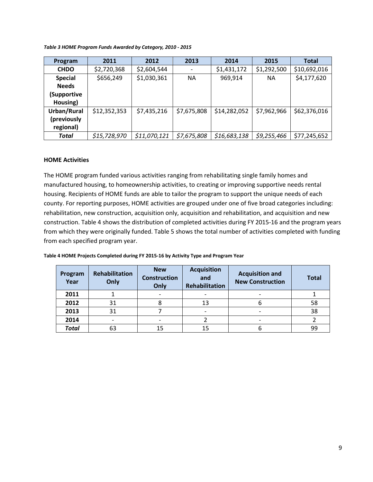*Table 3 HOME Program Funds Awarded by Category, 2010 - 2015*

| Program        | 2011         | 2012         | 2013        | 2014         | 2015        | Total        |
|----------------|--------------|--------------|-------------|--------------|-------------|--------------|
| <b>CHDO</b>    | \$2,720,368  | \$2,604,544  |             | \$1,431,172  | \$1,292,500 | \$10,692,016 |
| <b>Special</b> | \$656,249    | \$1,030,361  | <b>NA</b>   | 969,914      | ΝA          | \$4,177,620  |
| <b>Needs</b>   |              |              |             |              |             |              |
| (Supportive    |              |              |             |              |             |              |
| Housing)       |              |              |             |              |             |              |
| Urban/Rural    | \$12,352,353 | \$7,435,216  | \$7,675,808 | \$14,282,052 | \$7,962,966 | \$62,376,016 |
| (previously    |              |              |             |              |             |              |
| regional)      |              |              |             |              |             |              |
| Total          | \$15,728,970 | \$11,070,121 | \$7,675,808 | \$16,683,138 | \$9,255,466 | \$77,245,652 |

#### **HOME Activities**

The HOME program funded various activities ranging from rehabilitating single family homes and manufactured housing, to homeownership activities, to creating or improving supportive needs rental housing. Recipients of HOME funds are able to tailor the program to support the unique needs of each county. For reporting purposes, HOME activities are grouped under one of five broad categories including: rehabilitation, new construction, acquisition only, acquisition and rehabilitation, and acquisition and new construction. Table 4 shows the distribution of completed activities during FY 2015-16 and the program years from which they were originally funded. Table 5 shows the total number of activities completed with funding from each specified program year.

**Table 4 HOME Projects Completed during FY 2015-16 by Activity Type and Program Year**

| Program<br>Year | <b>Rehabilitation</b><br>Only | <b>New</b><br><b>Construction</b><br>Only | <b>Acquisition</b><br>and<br>Rehabilitation | <b>Acquisition and</b><br><b>New Construction</b> |    |
|-----------------|-------------------------------|-------------------------------------------|---------------------------------------------|---------------------------------------------------|----|
| 2011            |                               |                                           |                                             |                                                   |    |
| 2012            | 31                            |                                           | 13                                          |                                                   | 58 |
| 2013            | 31                            |                                           |                                             |                                                   | 38 |
| 2014            |                               |                                           |                                             |                                                   |    |
| <b>Total</b>    | 63                            | 15                                        |                                             |                                                   | 99 |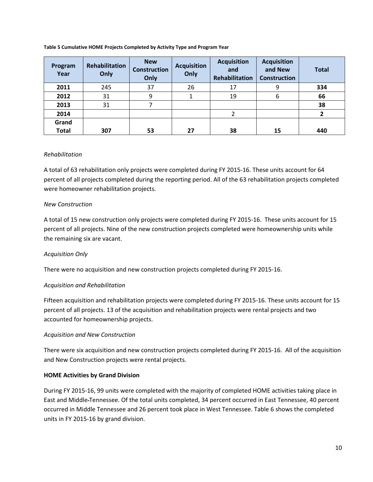#### **Table 5 Cumulative HOME Projects Completed by Activity Type and Program Year**

| Program<br>Year | <b>Rehabilitation</b><br>Only | <b>New</b><br><b>Construction</b><br>Only | <b>Acquisition</b><br>Only | <b>Acquisition</b><br>and<br><b>Rehabilitation</b> | <b>Acquisition</b><br>and New<br><b>Construction</b> | <b>Total</b>   |
|-----------------|-------------------------------|-------------------------------------------|----------------------------|----------------------------------------------------|------------------------------------------------------|----------------|
| 2011            | 245                           | 37                                        | 26                         | 17                                                 | 9                                                    | 334            |
| 2012            | 31                            | 9                                         |                            | 19                                                 | 6                                                    | 66             |
| 2013            | 31                            |                                           |                            |                                                    |                                                      | 38             |
| 2014            |                               |                                           |                            | 2                                                  |                                                      | $\overline{2}$ |
| Grand           |                               |                                           |                            |                                                    |                                                      |                |
| <b>Total</b>    | 307                           | 53                                        | 27                         | 38                                                 | 15                                                   | 440            |

### *Rehabilitation*

A total of 63 rehabilitation only projects were completed during FY 2015-16. These units account for 64 percent of all projects completed during the reporting period. All of the 63 rehabilitation projects completed were homeowner rehabilitation projects.

## *New Construction*

A total of 15 new construction only projects were completed during FY 2015-16. These units account for 15 percent of all projects. Nine of the new construction projects completed were homeownership units while the remaining six are vacant.

## *Acquisition Only*

There were no acquisition and new construction projects completed during FY 2015-16.

## *Acquisition and Rehabilitation*

Fifteen acquisition and rehabilitation projects were completed during FY 2015-16. These units account for 15 percent of all projects. 13 of the acquisition and rehabilitation projects were rental projects and two accounted for homeownership projects.

## *Acquisition and New Construction*

There were six acquisition and new construction projects completed during FY 2015-16. All of the acquisition and New Construction projects were rental projects.

## **HOME Activities by Grand Division**

During FY 2015-16, 99 units were completed with the majority of completed HOME activities taking place in East and Middle Tennessee. Of the total units completed, 34 percent occurred in East Tennessee, 40 percent occurred in Middle Tennessee and 26 percent took place in West Tennessee. Table 6 shows the completed units in FY 2015-16 by grand division.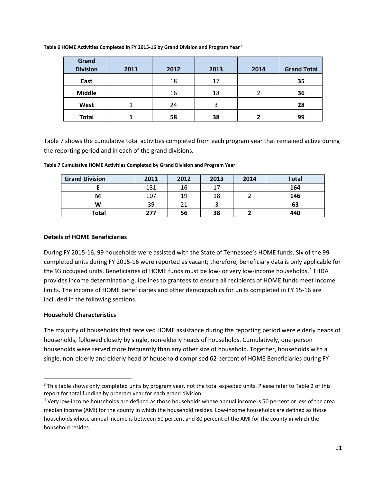**Table 6 HOME Activities Completed in FY 2015-16 by Grand Division and Program Year***[3](#page-10-0)*

| Grand<br><b>Division</b> | 2011 | 2012 | 2013 | 2014 | <b>Grand Total</b> |
|--------------------------|------|------|------|------|--------------------|
| East                     |      | 18   | 17   |      | 35                 |
| <b>Middle</b>            |      | 16   | 18   | າ    | 36                 |
| West                     |      | 24   | 3    |      | 28                 |
| <b>Total</b>             |      | 58   | 38   |      | 99                 |

Table 7 shows the cumulative total activities completed from each program year that remained active during the reporting period and in each of the grand divisions.

| Table 7 Cumulative HOME Activities Completed by Grand Division and Program Year |  |  |  |
|---------------------------------------------------------------------------------|--|--|--|
|                                                                                 |  |  |  |

| <b>Grand Division</b> | 2011 | 2012 | 2013 | 2014 | <b>Total</b> |
|-----------------------|------|------|------|------|--------------|
|                       | 131  | 16   | 17   |      | 164          |
| М                     | 107  | 19   | 18   |      | 146          |
| W                     | 39   | 21   |      |      | 63           |
| <b>Total</b>          | 277  | 56   | 38   |      | 440          |

#### **Details of HOME Beneficiaries**

During FY 2015-16, 99 households were assisted with the State of Tennessee's HOME funds. Six of the 99 completed units during FY 2015-16 were reported as vacant; therefore, beneficiary data is only applicable for the 93 occupied units. Beneficiaries of HOME funds must be low- or very low-income households.<sup>[4](#page-10-1)</sup> THDA provides income determination guidelines to grantees to ensure all recipients of HOME funds meet income limits. The income of HOME beneficiaries and other demographics for units completed in FY 15-16 are included in the following sections.

## **Household Characteristics**

The majority of households that received HOME assistance during the reporting period were elderly heads of households, followed closely by single, non-elderly heads of households. Cumulatively, one-person households were served more frequently than any other size of household. Together, households with a single, non-elderly and elderly head of household comprised 62 percent of HOME Beneficiaries during FY

<span id="page-10-0"></span><sup>&</sup>lt;sup>3</sup> This table shows only completed units by program year, not the total expected units. Please refer to Table 2 of this report for total funding by program year for each grand division.

<span id="page-10-1"></span><sup>&</sup>lt;sup>4</sup> Very low-income households are defined as those households whose annual income is 50 percent or less of the area median income (AMI) for the county in which the household resides. Low-income households are defined as those households whose annual income is between 50 percent and 80 percent of the AMI for the county in which the household resides.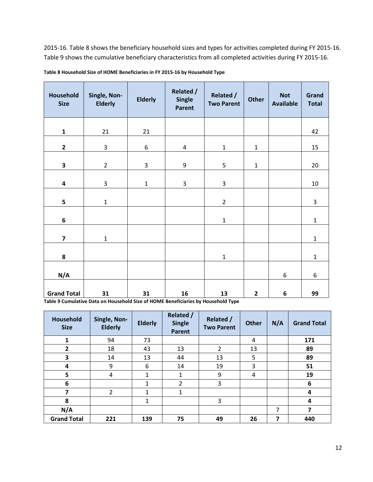2015-16. Table 8 shows the beneficiary household sizes and types for activities completed during FY 2015-16. Table 9 shows the cumulative beneficiary characteristics from all completed activities during FY 2015-16.

| Household<br><b>Size</b> | Single, Non-<br><b>Elderly</b> | <b>Elderly</b> | <b>Related /</b><br><b>Single</b><br>Parent | <b>Related /</b><br><b>Two Parent</b> | <b>Other</b> | <b>Not</b><br><b>Available</b> | Grand<br><b>Total</b> |
|--------------------------|--------------------------------|----------------|---------------------------------------------|---------------------------------------|--------------|--------------------------------|-----------------------|
| $\mathbf{1}$             | 21                             | 21             |                                             |                                       |              |                                | 42                    |
| $\mathbf{2}$             | $\overline{\mathbf{3}}$        | 6              | 4                                           | $\mathbf 1$                           | $\mathbf 1$  |                                | 15                    |
| 3                        | $\overline{2}$                 | $\overline{3}$ | $\boldsymbol{9}$                            | 5                                     | $\mathbf{1}$ |                                | 20                    |
| $\overline{\mathbf{4}}$  | $\overline{3}$                 | $\mathbf{1}$   | 3                                           | 3                                     |              |                                | 10                    |
| 5                        | $\mathbf 1$                    |                |                                             | $\overline{2}$                        |              |                                | $\overline{3}$        |
| $\boldsymbol{6}$         |                                |                |                                             | $\mathbf 1$                           |              |                                | $\mathbf 1$           |
| $\overline{\mathbf{z}}$  | $\mathbf 1$                    |                |                                             |                                       |              |                                | $\mathbf{1}$          |
| 8                        |                                |                |                                             | $\mathbf 1$                           |              |                                | $\mathbf{1}$          |
| N/A                      |                                |                |                                             |                                       |              | 6                              | 6                     |
| <b>Grand Total</b>       | 31                             | 31             | 16                                          | 13                                    | $\mathbf{2}$ | $\bf 6$                        | 99                    |

**Table 8 Household Size of HOME Beneficiaries in FY 2015-16 by Household Type**

**Table 9 Cumulative Data on Household Size of HOME Beneficiaries by Household Type**

| Household<br><b>Size</b> | Single, Non-<br><b>Elderly</b> | <b>Elderly</b> | Related /<br><b>Single</b><br>Parent | <b>Related /</b><br><b>Two Parent</b> | <b>Other</b> | N/A | <b>Grand Total</b> |
|--------------------------|--------------------------------|----------------|--------------------------------------|---------------------------------------|--------------|-----|--------------------|
| $\mathbf{1}$             | 94                             | 73             |                                      |                                       | 4            |     | 171                |
| $\overline{2}$           | 18                             | 43             | 13                                   | $\overline{2}$                        | 13           |     | 89                 |
| 3                        | 14                             | 13             | 44                                   | 13                                    | 5            |     | 89                 |
| 4                        | 9                              | 6              | 14                                   | 19                                    | 3            |     | 51                 |
| 5                        | 4                              | $\mathbf{1}$   | $\mathbf{1}$                         | 9                                     | 4            |     | 19                 |
| 6                        |                                | 1              | $\overline{2}$                       | 3                                     |              |     | 6                  |
| 7                        | $\overline{2}$                 | 1              | 1                                    |                                       |              |     | 4                  |
| 8                        |                                | $\mathbf{1}$   |                                      | 3                                     |              |     | 4                  |
| N/A                      |                                |                |                                      |                                       |              | 7   |                    |
| <b>Grand Total</b>       | 221                            | 139            | 75                                   | 49                                    | 26           | 7   | 440                |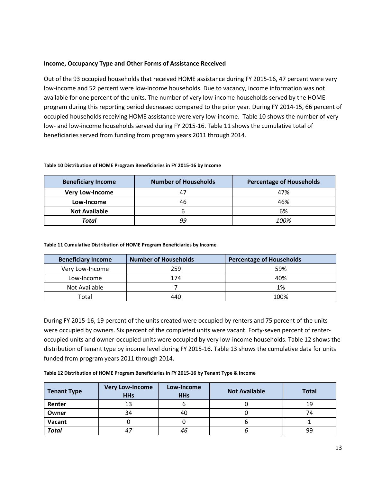### **Income, Occupancy Type and Other Forms of Assistance Received**

Out of the 93 occupied households that received HOME assistance during FY 2015-16, 47 percent were very low-income and 52 percent were low-income households. Due to vacancy, income information was not available for one percent of the units. The number of very low-income households served by the HOME program during this reporting period decreased compared to the prior year. During FY 2014-15, 66 percent of occupied households receiving HOME assistance were very low-income. Table 10 shows the number of very low- and low-income households served during FY 2015-16. Table 11 shows the cumulative total of beneficiaries served from funding from program years 2011 through 2014.

| <b>Beneficiary Income</b> | <b>Number of Households</b> | <b>Percentage of Households</b> |
|---------------------------|-----------------------------|---------------------------------|
| <b>Very Low-Income</b>    |                             | 47%                             |
| Low-Income                | 46                          | 46%                             |
| <b>Not Available</b>      |                             | 6%                              |
| Total                     | 99                          | 100%                            |

#### **Table 10 Distribution of HOME Program Beneficiaries in FY 2015-16 by Income**

**Table 11 Cumulative Distribution of HOME Program Beneficiaries by Income**

| <b>Beneficiary Income</b> | <b>Number of Households</b> | <b>Percentage of Households</b> |
|---------------------------|-----------------------------|---------------------------------|
| Very Low-Income           | 259                         | 59%                             |
| Low-Income                | 174                         | 40%                             |
| Not Available             |                             | 1%                              |
| Total                     | 440                         | 100%                            |

During FY 2015-16, 19 percent of the units created were occupied by renters and 75 percent of the units were occupied by owners. Six percent of the completed units were vacant. Forty-seven percent of renteroccupied units and owner-occupied units were occupied by very low-income households. Table 12 shows the distribution of tenant type by income level during FY 2015-16. Table 13 shows the cumulative data for units funded from program years 2011 through 2014.

**Table 12 Distribution of HOME Program Beneficiaries in FY 2015-16 by Tenant Type & Income**

| <b>Tenant Type</b> | <b>Very Low-Income</b><br><b>HHs</b> | Low-Income<br><b>HHs</b> | <b>Not Available</b> | <b>Total</b> |
|--------------------|--------------------------------------|--------------------------|----------------------|--------------|
| Renter             |                                      |                          |                      | 19           |
| Owner              | 34                                   | 40                       |                      | 74           |
| Vacant             |                                      |                          | υ                    |              |
| <b>Total</b>       |                                      | 46                       | о                    | 99           |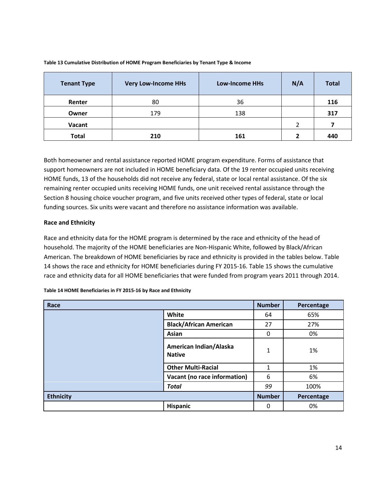| <b>Tenant Type</b> | <b>Very Low-Income HHs</b> | <b>Low-Income HHs</b> | N/A | <b>Total</b> |
|--------------------|----------------------------|-----------------------|-----|--------------|
| Renter             | 80                         | 36                    |     | 116          |
| Owner              | 179                        | 138                   |     | 317          |
| Vacant             |                            |                       | 2   |              |
| <b>Total</b>       | 210                        | 161                   | י   | 440          |

#### **Table 13 Cumulative Distribution of HOME Program Beneficiaries by Tenant Type & Income**

Both homeowner and rental assistance reported HOME program expenditure. Forms of assistance that support homeowners are not included in HOME beneficiary data. Of the 19 renter occupied units receiving HOME funds, 13 of the households did not receive any federal, state or local rental assistance. Of the six remaining renter occupied units receiving HOME funds, one unit received rental assistance through the Section 8 housing choice voucher program, and five units received other types of federal, state or local funding sources. Six units were vacant and therefore no assistance information was available.

## **Race and Ethnicity**

Race and ethnicity data for the HOME program is determined by the race and ethnicity of the head of household. The majority of the HOME beneficiaries are Non-Hispanic White, followed by Black/African American. The breakdown of HOME beneficiaries by race and ethnicity is provided in the tables below. Table 14 shows the race and ethnicity for HOME beneficiaries during FY 2015-16. Table 15 shows the cumulative race and ethnicity data for all HOME beneficiaries that were funded from program years 2011 through 2014.

| Race             |                                         |               | Percentage |
|------------------|-----------------------------------------|---------------|------------|
|                  | White                                   | 64            | 65%        |
|                  | <b>Black/African American</b>           | 27            | 27%        |
|                  | Asian                                   | 0             | 0%         |
|                  | American Indian/Alaska<br><b>Native</b> | 1             | 1%         |
|                  | <b>Other Multi-Racial</b>               | 1             | 1%         |
|                  | Vacant (no race information)            | 6             | 6%         |
|                  | <b>Total</b>                            | 99            | 100%       |
| <b>Ethnicity</b> |                                         | <b>Number</b> | Percentage |
|                  | <b>Hispanic</b>                         | 0             | 0%         |

**Table 14 HOME Beneficiaries in FY 2015-16 by Race and Ethnicity**